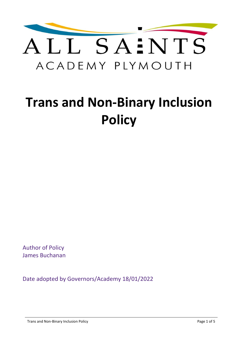

# **Trans and Non-Binary Inclusion Policy**

Author of Policy James Buchanan

Date adopted by Governors/Academy 18/01/2022

Trans and Non-Binary Inclusion Policy **Page 1 of 5** and 2001 the state of 5 and 2001 the state Page 1 of 5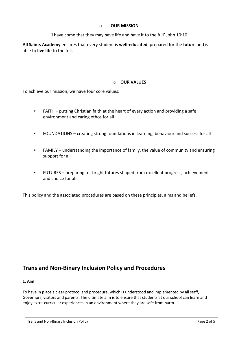#### o **OUR MISSION**

'I have come that they may have life and have it to the full' John 10:10

**All Saints Academy** ensures that every student is **well-educated**, prepared for the **future** and is able to **live life** to the full.

### o **OUR VALUES**

To achieve our mission, we have four core values:

- FAITH putting Christian faith at the heart of every action and providing a safe environment and caring ethos for all
- FOUNDATIONS creating strong foundations in learning, behaviour and success for all
- FAMILY understanding the importance of family, the value of community and ensuring support for all
- FUTURES preparing for bright futures shaped from excellent progress, achievement and choice for all

This policy and the associated procedures are based on these principles, aims and beliefs.

# **Trans and Non-Binary Inclusion Policy and Procedures**

#### **1. Aim**

To have in place a clear protocol and procedure, which is understood and implemented by all staff, Governors, visitors and parents. The ultimate aim is to ensure that students at our school can learn and enjoy extra-curricular experiences in an environment where they are safe from harm.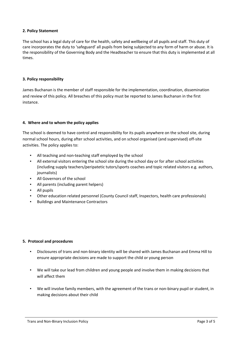#### **2. Policy Statement**

The school has a legal duty of care for the health, safety and wellbeing of all pupils and staff. This duty of care incorporates the duty to 'safeguard' all pupils from being subjected to any form of harm or abuse. It is the responsibility of the Governing Body and the Headteacher to ensure that this duty is implemented at all times.

#### **3. Policy responsibility**

James Buchanan is the member of staff responsible for the implementation, coordination, dissemination and review of this policy. All breaches of this policy must be reported to James Buchanan in the first instance.

#### **4. Where and to whom the policy applies**

The school is deemed to have control and responsibility for its pupils anywhere on the school site, during normal school hours, during after school activities, and on school organised (and supervised) off-site activities. The policy applies to:

- All teaching and non-teaching staff employed by the school
- All external visitors entering the school site during the school day or for after school activities (including supply teachers/peripatetic tutors/sports coaches and topic related visitors e.g. authors, journalists)
- All Governors of the school
- All parents (including parent helpers)
- All pupils
- Other education related personnel (County Council staff, Inspectors, health care professionals)
- Buildings and Maintenance Contractors

#### **5. Protocol and procedures**

- Disclosures of trans and non-binary identity will be shared with James Buchanan and Emma Hill to ensure appropriate decisions are made to support the child or young person
- We will take our lead from children and young people and involve them in making decisions that will affect them
- We will involve family members, with the agreement of the trans or non-binary pupil or student, in making decisions about their child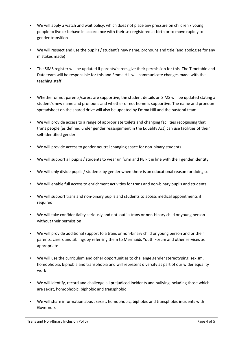- We will apply a watch and wait policy, which does not place any pressure on children / young people to live or behave in accordance with their sex registered at birth or to move rapidly to gender transition
- We will respect and use the pupil's / student's new name, pronouns and title (and apologise for any mistakes made)
- The SIMS register will be updated if parents/carers give their permission for this. The Timetable and Data team will be responsible for this and Emma Hill will communicate changes made with the teaching staff
- Whether or not parents/carers are supportive, the student details on SIMS will be updated stating a student's new name and pronouns and whether or not home is supportive. The name and pronoun spreadsheet on the shared drive will also be updated by Emma Hill and the pastoral team.
- We will provide access to a range of appropriate toilets and changing facilities recognising that trans people (as defined under gender reassignment in the Equality Act) can use facilities of their self-identified gender
- We will provide access to gender neutral changing space for non-binary students
- We will support all pupils / students to wear uniform and PE kit in line with their gender identity
- We will only divide pupils / students by gender when there is an educational reason for doing so
- We will enable full access to enrichment activities for trans and non-binary pupils and students
- We will support trans and non-binary pupils and students to access medical appointments if required
- We will take confidentiality seriously and not 'out' a trans or non-binary child or young person without their permission
- We will provide additional support to a trans or non-binary child or young person and or their parents, carers and siblings by referring them to Mermaids Youth Forum and other services as appropriate
- We will use the curriculum and other opportunities to challenge gender stereotyping, sexism, homophobia, biphobia and transphobia and will represent diversity as part of our wider equality work
- We will identify, record and challenge all prejudiced incidents and bullying including those which are sexist, homophobic, biphobic and transphobic
- We will share information about sexist, homophobic, biphobic and transphobic incidents with Governors